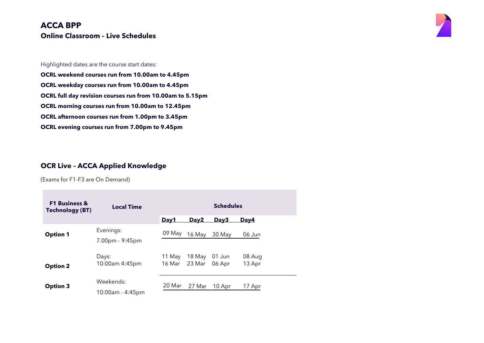

Highlighted dates are the course start dates:

**OCRL weekend courses run from 10.00am to 4.45pm OCRL weekday courses run from 10.00am to 4.45pm OCRL full day revision courses run from 10.00am to 5.15pm OCRL morning courses run from 10.00am to 12.45pm**

**OCRL afternoon courses run from 1.00pm to 3.45pm**

**OCRL evening courses run from 7.00pm to 9.45pm**

#### **OCR Live – ACCA Applied Knowledge**

(Exams for F1-F3 are On Demand)

| <b>F1 Business &amp;</b><br><b>Technology (BT)</b> | <b>Local Time</b>             |                  |                  | <b>Schedules</b> |                  |
|----------------------------------------------------|-------------------------------|------------------|------------------|------------------|------------------|
|                                                    |                               | Day1             | Day <sub>2</sub> | Day <sub>3</sub> | Day4             |
| <b>Option 1</b>                                    | Evenings:<br>7.00pm - 9:45pm  | 09 May           | 16 May           | 30 May           | 06 Jun           |
| <b>Option 2</b>                                    | Days:<br>10:00am 4:45pm       | 11 May<br>16 Mar | 18 May<br>23 Mar | 01 Jun<br>06 Apr | 08 Aug<br>13 Apr |
| <b>Option 3</b>                                    | Weekends:<br>10:00am - 4:45pm | 20 Mar           | 27 Mar           | 10 Apr           | 17 Apr           |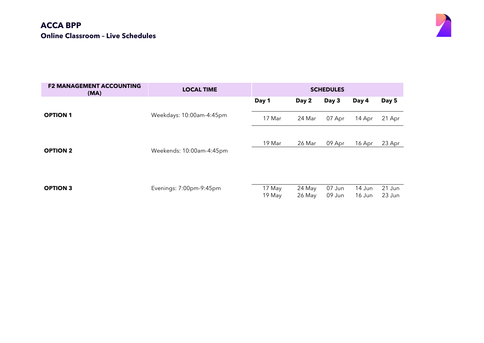

| <b>F2 MANAGEMENT ACCOUNTING</b><br>(MA) | <b>LOCAL TIME</b>        |                  |                  | <b>SCHEDULES</b> |                  |                  |
|-----------------------------------------|--------------------------|------------------|------------------|------------------|------------------|------------------|
|                                         |                          | Day 1            | Day 2            | Day 3            | Day 4            | Day 5            |
| <b>OPTION 1</b>                         | Weekdays: 10:00am-4:45pm | 17 Mar           | 24 Mar           | 07 Apr           | 14 Apr           | 21 Apr           |
|                                         |                          |                  |                  |                  |                  |                  |
| <b>OPTION 2</b>                         | Weekends: 10:00am-4:45pm | 19 Mar           | 26 Mar           | 09 Apr           | 16 Apr           | 23 Apr           |
|                                         |                          |                  |                  |                  |                  |                  |
|                                         |                          |                  |                  |                  |                  |                  |
| <b>OPTION 3</b>                         | Evenings: 7:00pm-9:45pm  | 17 May<br>19 May | 24 May<br>26 May | 07 Jun<br>09 Jun | 14 Jun<br>16 Jun | 21 Jun<br>23 Jun |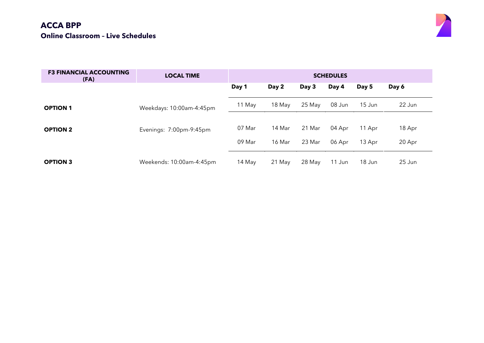

| <b>F3 FINANCIAL ACCOUNTING</b><br>(FA) | <b>LOCAL TIME</b>        |                  |                  |                  | <b>SCHEDULES</b> |                  |                  |
|----------------------------------------|--------------------------|------------------|------------------|------------------|------------------|------------------|------------------|
|                                        |                          | Day 1            | Day 2            | Day 3            | Day 4            | Day 5            | Day 6            |
| <b>OPTION 1</b>                        | Weekdays: 10:00am-4:45pm | 11 May           | 18 May           | 25 May           | 08 Jun           | 15 Jun           | 22 Jun           |
| <b>OPTION 2</b>                        | Evenings: 7:00pm-9:45pm  | 07 Mar<br>09 Mar | 14 Mar<br>16 Mar | 21 Mar<br>23 Mar | 04 Apr<br>06 Apr | 11 Apr<br>13 Apr | 18 Apr<br>20 Apr |
| <b>OPTION 3</b>                        | Weekends: 10:00am-4:45pm | 14 May           | 21 May           | 28 May           | 11 Jun           | 18 Jun           | 25 Jun           |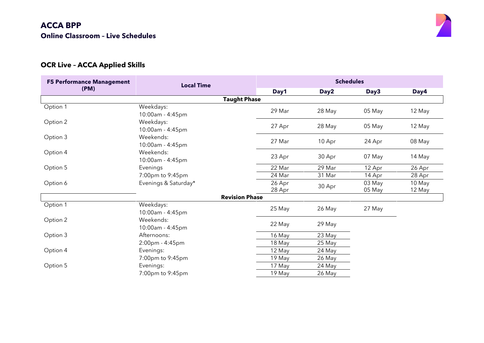

# **OCR Live – ACCA Applied Skills**

| <b>F5 Performance Management</b> | <b>Local Time</b>             |                  |        | <b>Schedules</b> |                  |
|----------------------------------|-------------------------------|------------------|--------|------------------|------------------|
| (PM)                             |                               | Day1             | Day2   | Day3             | Day4             |
|                                  | <b>Taught Phase</b>           |                  |        |                  |                  |
| Option 1                         | Weekdays:<br>10:00am - 4:45pm | 29 Mar           | 28 May | 05 May           | 12 May           |
| Option 2                         | Weekdays:<br>10:00am - 4:45pm | 27 Apr           | 28 May | 05 May           | 12 May           |
| Option 3                         | Weekends:<br>10:00am - 4:45pm | 27 Mar           | 10 Apr | 24 Apr           | 08 May           |
| Option 4                         | Weekends:<br>10:00am - 4:45pm | 23 Apr           | 30 Apr | 07 May           | 14 May           |
| Option 5                         | Evenings                      | 22 Mar           | 29 Mar | 12 Apr           | 26 Apr           |
|                                  | 7:00pm to 9:45pm              | 24 Mar           | 31 Mar | 14 Apr           | 28 Apr           |
| Option 6                         | Evenings & Saturday*          | 26 Apr<br>28 Apr | 30 Apr | 03 May<br>05 May | 10 May<br>12 May |
|                                  | <b>Revision Phase</b>         |                  |        |                  |                  |
| Option 1                         | Weekdays:<br>10:00am - 4:45pm | 25 May           | 26 May | 27 May           |                  |
| Option 2                         | Weekends:<br>10:00am - 4:45pm | 22 May           | 29 May |                  |                  |
| Option 3                         | Afternoons:                   | 16 May           | 23 May |                  |                  |
|                                  | 2:00pm - 4:45pm               | 18 May           | 25 May |                  |                  |
| Option 4                         | Evenings:                     | 12 May           | 24 May |                  |                  |
|                                  | 7:00pm to 9:45pm              | 19 May           | 26 May |                  |                  |
| Option 5                         | Evenings:                     | 17 May           | 24 May |                  |                  |
|                                  | 7:00pm to 9:45pm              | 19 May           | 26 May |                  |                  |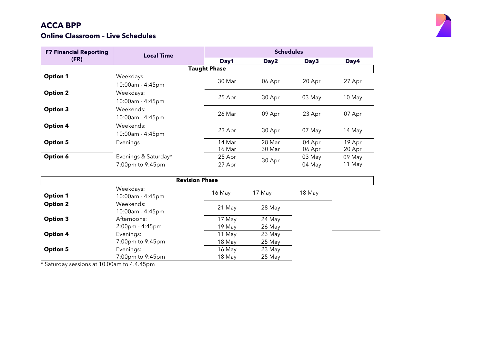#### **Online Classroom – Live Schedules**



| <b>F7 Financial Reporting</b> | <b>Local Time</b>             | <b>Schedules</b>    |                  |                  |                  |  |
|-------------------------------|-------------------------------|---------------------|------------------|------------------|------------------|--|
| (FR)                          |                               | Day1                | Day2             | Day3             | Day4             |  |
|                               |                               | <b>Taught Phase</b> |                  |                  |                  |  |
| <b>Option 1</b>               | Weekdays:<br>10:00am - 4:45pm | 30 Mar              | 06 Apr           | 20 Apr           | 27 Apr           |  |
| <b>Option 2</b>               | Weekdays:<br>10:00am - 4:45pm | 25 Apr              | 30 Apr           | 03 May           | 10 May           |  |
| <b>Option 3</b>               | Weekends:<br>10:00am - 4:45pm | 26 Mar              | 09 Apr           | 23 Apr           | 07 Apr           |  |
| <b>Option 4</b>               | Weekends:<br>10:00am - 4:45pm | 23 Apr              | 30 Apr           | 07 May           | 14 May           |  |
| <b>Option 5</b>               | Evenings                      | 14 Mar<br>16 Mar    | 28 Mar<br>30 Mar | 04 Apr<br>06 Apr | 19 Apr<br>20 Apr |  |
| Option 6                      | Evenings & Saturday*          | 25 Apr              |                  | 03 May           | 09 May           |  |
|                               | 7:00pm to 9:45pm              | 27 Apr              | 30 Apr           | 04 May           | 11 May           |  |

|                 | <b>Revision Phase</b>         |        |        |        |  |  |  |  |
|-----------------|-------------------------------|--------|--------|--------|--|--|--|--|
| <b>Option 1</b> | Weekdays:<br>10:00am - 4:45pm | 16 May | 17 May | 18 May |  |  |  |  |
| <b>Option 2</b> | Weekends:<br>10:00am - 4:45pm | 21 May | 28 May |        |  |  |  |  |
| <b>Option 3</b> | Afternoons:                   | 17 May | 24 May |        |  |  |  |  |
|                 | $2:00$ pm - 4:45pm            | 19 May | 26 May |        |  |  |  |  |
| <b>Option 4</b> | Evenings:                     | 11 May | 23 May |        |  |  |  |  |
|                 | 7:00pm to 9:45pm              | 18 May | 25 May |        |  |  |  |  |
| <b>Option 5</b> | Evenings:                     | 16 May | 23 May |        |  |  |  |  |
|                 | 7:00pm to 9:45pm              | 18 May | 25 May |        |  |  |  |  |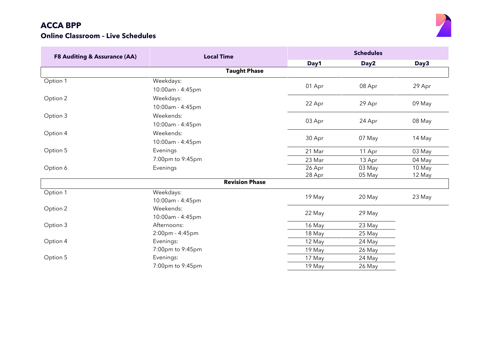

| <b>F8 Auditing &amp; Assurance (AA)</b> | <b>Local Time</b>     | <b>Schedules</b> |                  |        |  |
|-----------------------------------------|-----------------------|------------------|------------------|--------|--|
|                                         |                       | Day1             | Day <sub>2</sub> | Day3   |  |
|                                         | <b>Taught Phase</b>   |                  |                  |        |  |
| Option 1                                | Weekdays:             |                  |                  |        |  |
|                                         | 10:00am - 4:45pm      | 01 Apr           | 08 Apr           | 29 Apr |  |
| Option 2                                | Weekdays:             |                  |                  |        |  |
|                                         | 10:00am - 4:45pm      | 22 Apr           | 29 Apr           | 09 May |  |
| Option 3                                | Weekends:             |                  |                  |        |  |
|                                         | 10:00am - 4:45pm      | 03 Apr           | 24 Apr           | 08 May |  |
| Option 4                                | Weekends:             |                  |                  |        |  |
|                                         | 10:00am - 4:45pm      | 30 Apr           | 07 May           | 14 May |  |
| Option 5                                | Evenings              | 21 Mar           | 11 Apr           | 03 May |  |
|                                         | 7:00pm to 9:45pm      | 23 Mar           | 13 Apr           | 04 May |  |
| Option 6                                | Evenings              | 26 Apr           | 03 May           | 10 May |  |
|                                         |                       | 28 Apr           | 05 May           | 12 May |  |
|                                         | <b>Revision Phase</b> |                  |                  |        |  |
| Option 1                                | Weekdays:             |                  | 20 May           |        |  |
|                                         | 10:00am - 4:45pm      | 19 May           |                  | 23 May |  |
| Option 2                                | Weekends:             | 22 May           | 29 May           |        |  |
|                                         | 10:00am - 4:45pm      |                  |                  |        |  |
| Option 3                                | Afternoons:           | 16 May           | 23 May           |        |  |
|                                         | 2:00pm - 4:45pm       | 18 May           | 25 May           |        |  |
| Option 4                                | Evenings:             | 12 May           | 24 May           |        |  |
|                                         | 7:00pm to 9:45pm      | 19 May           | 26 May           |        |  |
| Option 5                                | Evenings:             | 17 May           | 24 May           |        |  |
|                                         | 7:00pm to 9:45pm      | 19 May           | 26 May           |        |  |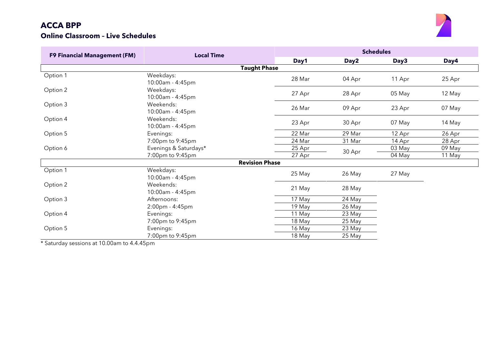#### **Online Classroom – Live Schedules**



| <b>F9 Financial Management (FM)</b> | <b>Local Time</b>             |        | <b>Schedules</b> |        |        |  |  |
|-------------------------------------|-------------------------------|--------|------------------|--------|--------|--|--|
|                                     |                               | Day1   | Day2             | Day3   | Day4   |  |  |
|                                     | <b>Taught Phase</b>           |        |                  |        |        |  |  |
| Option 1                            | Weekdays:<br>10:00am - 4:45pm | 28 Mar | 04 Apr           | 11 Apr | 25 Apr |  |  |
| Option 2                            | Weekdays:<br>10:00am - 4:45pm | 27 Apr | 28 Apr           | 05 May | 12 May |  |  |
| Option 3                            | Weekends:<br>10:00am - 4:45pm | 26 Mar | 09 Apr           | 23 Apr | 07 May |  |  |
| Option 4                            | Weekends:<br>10:00am - 4:45pm | 23 Apr | 30 Apr           | 07 May | 14 May |  |  |
| Option 5                            | Evenings:                     | 22 Mar | 29 Mar           | 12 Apr | 26 Apr |  |  |
|                                     | 7:00pm to 9:45pm              | 24 Mar | 31 Mar           | 14 Apr | 28 Apr |  |  |
| Option 6                            | Evenings & Saturdays*         | 25 Apr |                  | 03 May | 09 May |  |  |
|                                     | 7:00pm to 9:45pm              | 27 Apr | 30 Apr           | 04 May | 11 May |  |  |
|                                     | <b>Revision Phase</b>         |        |                  |        |        |  |  |
| Option 1                            | Weekdays:<br>10:00am - 4:45pm | 25 May | 26 May           | 27 May |        |  |  |
| Option 2                            | Weekends:<br>10:00am - 4:45pm | 21 May | 28 May           |        |        |  |  |
| Option 3                            | Afternoons:                   | 17 May | 24 May           |        |        |  |  |
|                                     | 2:00pm - 4:45pm               | 19 May | 26 May           |        |        |  |  |
| Option 4                            | Evenings:                     | 11 May | 23 May           |        |        |  |  |
|                                     | 7:00pm to 9:45pm              | 18 May | 25 May           |        |        |  |  |
| Option 5                            | Evenings:                     | 16 May | 23 May           |        |        |  |  |
|                                     | 7:00pm to 9:45pm              | 18 May | 25 May           |        |        |  |  |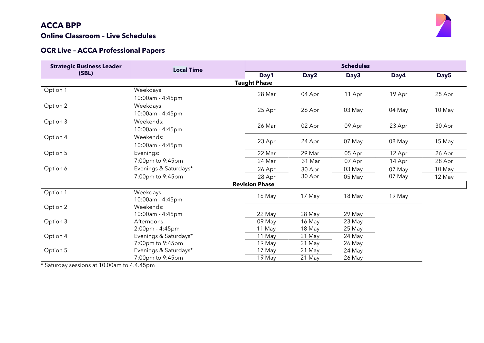#### **Online Classroom – Live Schedules**

#### **OCR Live – ACCA Professional Papers**

| <b>Strategic Business Leader</b> | <b>Local Time</b>     |                       | <b>Schedules</b> |        |        |                  |  |  |
|----------------------------------|-----------------------|-----------------------|------------------|--------|--------|------------------|--|--|
| (SBL)                            |                       | Day1                  | Day <sub>2</sub> | Day3   | Day4   | Day <sub>5</sub> |  |  |
|                                  |                       | <b>Taught Phase</b>   |                  |        |        |                  |  |  |
| Option 1                         | Weekdays:             |                       |                  |        |        |                  |  |  |
|                                  | 10:00am - 4:45pm      | 28 Mar                | 04 Apr           | 11 Apr | 19 Apr | 25 Apr           |  |  |
| Option 2                         | Weekdays:             |                       |                  |        |        |                  |  |  |
|                                  | 10:00am - 4:45pm      | 25 Apr                | 26 Apr           | 03 May | 04 May | 10 May           |  |  |
| Option 3                         | Weekends:             |                       |                  |        |        |                  |  |  |
|                                  | 10:00am - 4:45pm      | 26 Mar                | 02 Apr           | 09 Apr | 23 Apr | 30 Apr           |  |  |
| Option 4                         | Weekends:             |                       |                  |        |        |                  |  |  |
|                                  | 10:00am - 4:45pm      | 23 Apr                | 24 Apr           | 07 May | 08 May | 15 May           |  |  |
| Option 5                         | Evenings:             | 22 Mar                | 29 Mar           | 05 Apr | 12 Apr | 26 Apr           |  |  |
|                                  | 7:00pm to 9:45pm      | 24 Mar                | 31 Mar           | 07 Apr | 14 Apr | 28 Apr           |  |  |
| Option 6                         | Evenings & Saturdays* | 26 Apr                | 30 Apr           | 03 May | 07 May | 10 May           |  |  |
|                                  | 7:00pm to 9:45pm      | 28 Apr                | 30 Apr           | 05 May | 07 May | 12 May           |  |  |
|                                  |                       | <b>Revision Phase</b> |                  |        |        |                  |  |  |
| Option 1                         | Weekdays:             |                       |                  |        |        |                  |  |  |
|                                  | 10:00am - 4:45pm      | 16 May                | 17 May           | 18 May | 19 May |                  |  |  |
| Option 2                         | Weekends:             |                       |                  |        |        |                  |  |  |
|                                  | 10:00am - 4:45pm      | 22 May                | 28 May           | 29 May |        |                  |  |  |
| Option 3                         | Afternoons:           | 09 May                | 16 May           | 23 May |        |                  |  |  |
|                                  | 2:00pm - 4:45pm       | 11 May                | 18 May           | 25 May |        |                  |  |  |
| Option 4                         | Evenings & Saturdays* | 11 May                | 21 May           | 24 May |        |                  |  |  |
|                                  | 7:00pm to 9:45pm      | 19 May                | 21 May           | 26 May |        |                  |  |  |
| Option 5                         | Evenings & Saturdays* | 17 May                | 21 May           | 24 May |        |                  |  |  |
|                                  | 7:00pm to 9:45pm      | 19 May                | 21 May           | 26 May |        |                  |  |  |

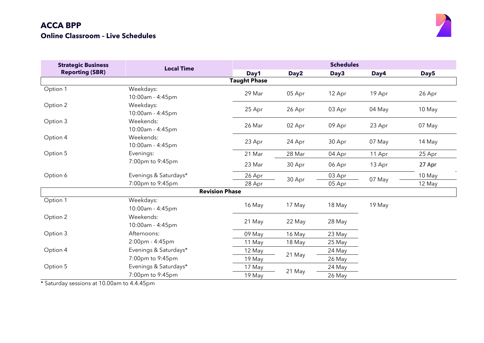

| <b>Strategic Business</b> | <b>Local Time</b>             | <b>Schedules</b> |        |        |        |                  |  |  |  |  |  |
|---------------------------|-------------------------------|------------------|--------|--------|--------|------------------|--|--|--|--|--|
| <b>Reporting (SBR)</b>    |                               | Day1             | Day2   | Day3   | Day4   | Day <sub>5</sub> |  |  |  |  |  |
|                           | <b>Taught Phase</b>           |                  |        |        |        |                  |  |  |  |  |  |
| Option 1                  | Weekdays:<br>10:00am - 4:45pm | 29 Mar           | 05 Apr | 12 Apr | 19 Apr | 26 Apr           |  |  |  |  |  |
| Option 2                  | Weekdays:<br>10:00am - 4:45pm | 25 Apr           | 26 Apr | 03 Apr | 04 May | 10 May           |  |  |  |  |  |
| Option 3                  | Weekends:<br>10:00am - 4:45pm | 26 Mar           | 02 Apr | 09 Apr | 23 Apr | 07 May           |  |  |  |  |  |
| Option 4                  | Weekends:<br>10:00am - 4:45pm | 23 Apr           | 24 Apr | 30 Apr | 07 May | 14 May           |  |  |  |  |  |
| Option 5                  | Evenings:                     | 21 Mar           | 28 Mar | 04 Apr | 11 Apr | 25 Apr           |  |  |  |  |  |
|                           | 7:00pm to 9:45pm              | 23 Mar           | 30 Apr | 06 Apr | 13 Apr | 27 Apr           |  |  |  |  |  |
| Option 6                  | Evenings & Saturdays*         | 26 Apr           |        | 03 Apr | 07 May | 10 May           |  |  |  |  |  |
|                           | 7:00pm to 9:45pm              | 28 Apr           | 30 Apr | 05 Apr |        | 12 May           |  |  |  |  |  |
|                           | <b>Revision Phase</b>         |                  |        |        |        |                  |  |  |  |  |  |
| Option 1                  | Weekdays:<br>10:00am - 4:45pm | 16 May           | 17 May | 18 May | 19 May |                  |  |  |  |  |  |
| Option 2                  | Weekends:<br>10:00am - 4:45pm | 21 May           | 22 May | 28 May |        |                  |  |  |  |  |  |
| Option 3                  | Afternoons:                   | 09 May           | 16 May | 23 May |        |                  |  |  |  |  |  |
|                           | 2:00pm - 4:45pm               | 11 May           | 18 May | 25 May |        |                  |  |  |  |  |  |
| Option 4                  | Evenings & Saturdays*         | 12 May           |        | 24 May |        |                  |  |  |  |  |  |
|                           | 7:00pm to 9:45pm              | 19 May           | 21 May | 26 May |        |                  |  |  |  |  |  |
| Option 5                  | Evenings & Saturdays*         | 17 May           |        | 24 May |        |                  |  |  |  |  |  |
|                           | 7:00pm to 9:45pm              | 19 May           | 21 May | 26 May |        |                  |  |  |  |  |  |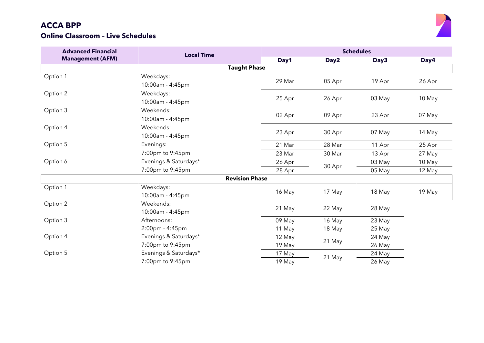

| <b>Advanced Financial</b> | <b>Local Time</b>     | <b>Schedules</b> |                  |        |        |  |
|---------------------------|-----------------------|------------------|------------------|--------|--------|--|
| <b>Management (AFM)</b>   |                       | Day1             | Day <sub>2</sub> | Day3   | Day4   |  |
|                           | <b>Taught Phase</b>   |                  |                  |        |        |  |
| Option 1                  | Weekdays:             | 29 Mar           |                  | 19 Apr |        |  |
|                           | 10:00am - 4:45pm      |                  | 05 Apr           |        | 26 Apr |  |
| Option 2                  | Weekdays:             |                  |                  |        |        |  |
|                           | 10:00am - 4:45pm      | 25 Apr           | 26 Apr           | 03 May | 10 May |  |
| Option 3                  | Weekends:             |                  |                  |        |        |  |
|                           | 10:00am - 4:45pm      | 02 Apr           | 09 Apr           | 23 Apr | 07 May |  |
| Option 4                  | Weekends:             |                  |                  |        |        |  |
|                           | 10:00am - 4:45pm      | 23 Apr           | 30 Apr           | 07 May | 14 May |  |
| Option 5                  | Evenings:             | 21 Mar           | 28 Mar           | 11 Apr | 25 Apr |  |
|                           | 7:00pm to 9:45pm      | 23 Mar           | 30 Mar           | 13 Apr | 27 May |  |
| Option 6                  | Evenings & Saturdays* | 26 Apr           |                  | 03 May | 10 May |  |
|                           | 7:00pm to 9:45pm      | 28 Apr           | 30 Apr           | 05 May | 12 May |  |
|                           | <b>Revision Phase</b> |                  |                  |        |        |  |
| Option 1                  | Weekdays:             | 16 May           | 17 May           | 18 May | 19 May |  |
|                           | 10:00am - 4:45pm      |                  |                  |        |        |  |
| Option 2                  | Weekends:             | 21 May           | 22 May           | 28 May |        |  |
|                           | 10:00am - 4:45pm      |                  |                  |        |        |  |
| Option 3                  | Afternoons:           | 09 May           | 16 May           | 23 May |        |  |
|                           | 2:00pm - 4:45pm       | 11 May           | 18 May           | 25 May |        |  |
| Option 4                  | Evenings & Saturdays* | 12 May           | 21 May           | 24 May |        |  |
|                           | 7:00pm to 9:45pm      | 19 May           |                  | 26 May |        |  |
| Option 5                  | Evenings & Saturdays* | 17 May           | 21 May           | 24 May |        |  |
|                           | 7:00pm to 9:45pm      | 19 May           |                  | 26 May |        |  |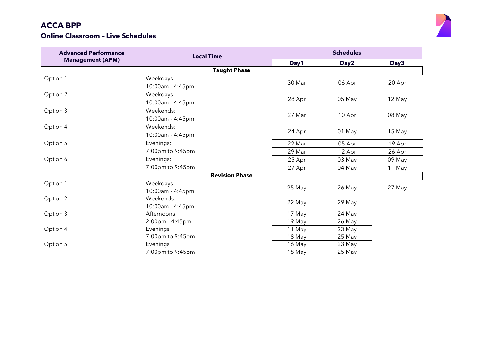

| <b>Advanced Performance</b> | <b>Local Time</b>             | <b>Schedules</b> |        |        |  |
|-----------------------------|-------------------------------|------------------|--------|--------|--|
| <b>Management (APM)</b>     |                               | Day1             | Day2   | Day3   |  |
|                             | <b>Taught Phase</b>           |                  |        |        |  |
| Option 1                    | Weekdays:<br>10:00am - 4:45pm | 30 Mar           | 06 Apr | 20 Apr |  |
| Option 2                    | Weekdays:<br>10:00am - 4:45pm | 28 Apr           | 05 May | 12 May |  |
| Option 3                    | Weekends:<br>10:00am - 4:45pm | 27 Mar           | 10 Apr | 08 May |  |
| Option 4                    | Weekends:<br>10:00am - 4:45pm | 24 Apr           | 01 May | 15 May |  |
| Option 5                    | Evenings:                     | 22 Mar           | 05 Apr | 19 Apr |  |
|                             | 7:00pm to 9:45pm              | 29 Mar           | 12 Apr | 26 Apr |  |
| Option 6                    | Evenings:                     | 25 Apr           | 03 May | 09 May |  |
|                             | 7:00pm to 9:45pm              | 27 Apr           | 04 May | 11 May |  |
|                             | <b>Revision Phase</b>         |                  |        |        |  |
| Option 1                    | Weekdays:<br>10:00am - 4:45pm | 25 May           | 26 May | 27 May |  |
| Option 2                    | Weekends:<br>10:00am - 4:45pm | 22 May           | 29 May |        |  |
| Option 3                    | Afternoons:                   | 17 May           | 24 May |        |  |
|                             | 2:00pm - 4:45pm               | 19 May           | 26 May |        |  |
| Option 4                    | Evenings                      | 11 May           | 23 May |        |  |
|                             | 7:00pm to 9:45pm              | 18 May           | 25 May |        |  |
| Option 5                    | Evenings                      | 16 May           | 23 May |        |  |
|                             | 7:00pm to 9:45pm              | 18 May           | 25 May |        |  |